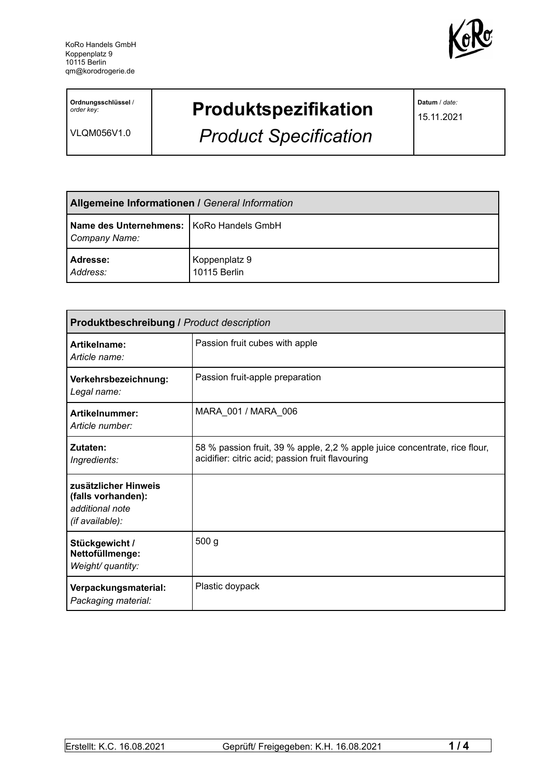

**Ordnungsschlüssel** / *order key:*

VLQM056V1.0

## **Produktspezifikation**

*Product Specification*

**Datum** / *date:*

15.11.2021

| <b>Allgemeine Informationen / General Information</b>       |                               |  |
|-------------------------------------------------------------|-------------------------------|--|
| Name des Unternehmens:   KoRo Handels GmbH<br>Company Name: |                               |  |
| Adresse:<br>Address:                                        | Koppenplatz 9<br>10115 Berlin |  |

| <b>Produktbeschreibung / Product description</b>                                 |                                                                                                                                |  |
|----------------------------------------------------------------------------------|--------------------------------------------------------------------------------------------------------------------------------|--|
| Artikelname:<br>Article name:                                                    | Passion fruit cubes with apple                                                                                                 |  |
| Verkehrsbezeichnung:<br>Legal name:                                              | Passion fruit-apple preparation                                                                                                |  |
| Artikelnummer:<br>Article number:                                                | MARA 001 / MARA 006                                                                                                            |  |
| Zutaten:<br>Ingredients:                                                         | 58 % passion fruit, 39 % apple, 2,2 % apple juice concentrate, rice flour,<br>acidifier: citric acid; passion fruit flavouring |  |
| zusätzlicher Hinweis<br>(falls vorhanden):<br>additional note<br>(if available): |                                                                                                                                |  |
| Stückgewicht /<br>Nettofüllmenge:<br>Weight/ quantity:                           | 500 <sub>g</sub>                                                                                                               |  |
| Verpackungsmaterial:<br>Packaging material:                                      | Plastic doypack                                                                                                                |  |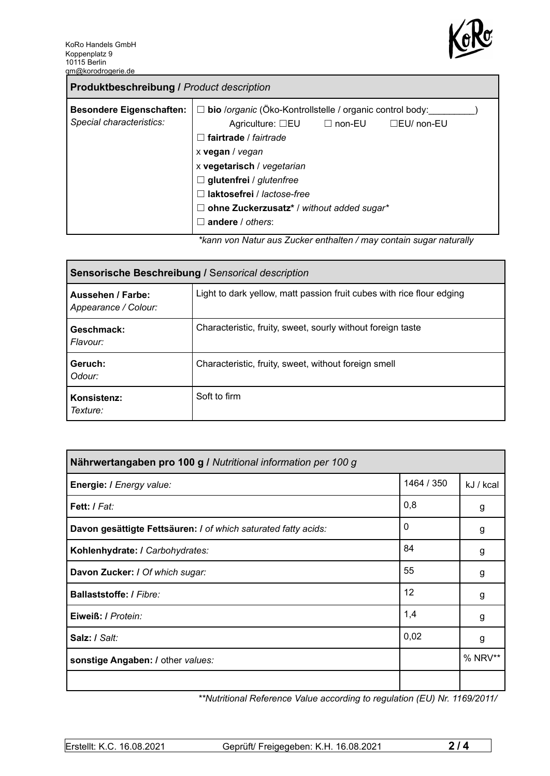

| <b>Produktbeschreibung / Product description</b>            |                                                                                                                                                                                                                                                                                                                                                                      |  |  |
|-------------------------------------------------------------|----------------------------------------------------------------------------------------------------------------------------------------------------------------------------------------------------------------------------------------------------------------------------------------------------------------------------------------------------------------------|--|--|
| <b>Besondere Eigenschaften:</b><br>Special characteristics: | $\Box$ bio /organic (Öko-Kontrollstelle / organic control body:<br>Agriculture: $\square$ EU $\square$ non-EU<br>$\Box$ EU/ non-EU<br>fairtrade / fairtrade<br>x vegan / vegan<br>x vegetarisch / vegetarian<br>$\Box$ glutenfrei / glutenfree<br>laktosefrei / lactose-free<br>$\Box$ ohne Zuckerzusatz* / without added sugar*<br>andere / others:<br>$\mathsf{L}$ |  |  |
|                                                             | *konnuga Naturaus Zueker enthelten / may centain sugar neturally                                                                                                                                                                                                                                                                                                     |  |  |

*\*kann von Natur aus Zucker enthalten / may contain sugar naturally*

| Sensorische Beschreibung / Sensorical description |                                                                       |  |
|---------------------------------------------------|-----------------------------------------------------------------------|--|
| Aussehen / Farbe:<br>Appearance / Colour:         | Light to dark yellow, matt passion fruit cubes with rice flour edging |  |
| Geschmack:<br>Flavour:                            | Characteristic, fruity, sweet, sourly without foreign taste           |  |
| Geruch:<br>Odour:                                 | Characteristic, fruity, sweet, without foreign smell                  |  |
| Konsistenz:<br>Texture:                           | Soft to firm                                                          |  |

| Nährwertangaben pro 100 g / Nutritional information per 100 g  |            |           |
|----------------------------------------------------------------|------------|-----------|
| Energie: I Energy value:                                       | 1464 / 350 | kJ / kcal |
| Fett: / Fat:                                                   | 0,8        | g         |
| Davon gesättigte Fettsäuren: I of which saturated fatty acids: | 0          | g         |
| Kohlenhydrate: I Carbohydrates:                                | 84         | g         |
| Davon Zucker: / Of which sugar:                                | 55         | g         |
| Ballaststoffe: / Fibre:                                        | 12         | g         |
| Eiweiß: / Protein:                                             | 1,4        | g         |
| Salz: / Salt:                                                  | 0,02       | g         |
| sonstige Angaben: / other values:                              |            | % NRV**   |
|                                                                |            |           |

*\*\*Nutritional Reference Value according to regulation (EU) Nr. 1169/2011/*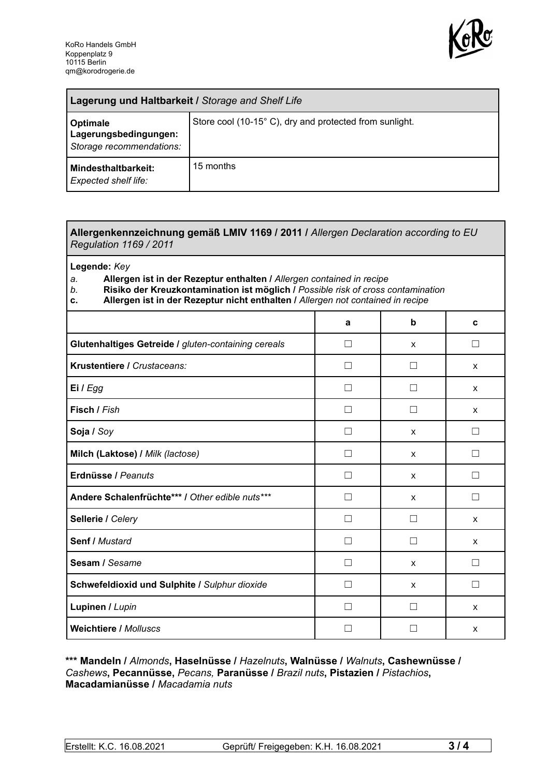

| Lagerung und Haltbarkeit / Storage and Shelf Life                    |                                                         |  |
|----------------------------------------------------------------------|---------------------------------------------------------|--|
| <b>Optimale</b><br>Lagerungsbedingungen:<br>Storage recommendations: | Store cool (10-15° C), dry and protected from sunlight. |  |
| Mindesthaltbarkeit:<br><b>Expected shelf life:</b>                   | 15 months                                               |  |

## **Allergenkennzeichnung gemäß LMIV 1169 / 2011 /** *Allergen Declaration according to EU Regulation 1169 / 2011*

**Legende:** *Key*

*a.* **Allergen ist in der Rezeptur enthalten /** *Allergen contained in recipe*

- *b.* **Risiko der Kreuzkontamination ist möglich /** *Possible risk of cross contamination*
- **c. Allergen ist in der Rezeptur nicht enthalten /** *Allergen not contained in recipe*

|                                                     | a                 | b            | C                        |
|-----------------------------------------------------|-------------------|--------------|--------------------------|
| Glutenhaltiges Getreide / gluten-containing cereals | П                 | X            | П                        |
| Krustentiere / Crustaceans:                         |                   |              | X                        |
| Ei / Egg                                            |                   |              | X                        |
| Fisch / Fish                                        |                   |              | X                        |
| Soja / Soy                                          |                   | X            | П                        |
| Milch (Laktose) / Milk (lactose)                    | П                 | $\mathsf{x}$ | П                        |
| Erdnüsse / Peanuts                                  | П                 | $\mathsf{x}$ | П                        |
| Andere Schalenfrüchte*** / Other edible nuts***     | П                 | X            | П                        |
| Sellerie / Celery                                   | П                 | $\perp$      | X                        |
| <b>Senf / Mustard</b>                               | $\vert \ \ \vert$ | $\Box$       | X                        |
| Sesam / Sesame                                      | Ш                 | X            | П                        |
| Schwefeldioxid und Sulphite / Sulphur dioxide       | П                 | X            | $\overline{\phantom{a}}$ |
| Lupinen / Lupin                                     |                   | H            | X                        |
| <b>Weichtiere / Molluscs</b>                        |                   |              | X                        |

## **\*\*\* Mandeln /** *Almonds***, Haselnüsse /** *Hazelnuts***, Walnüsse /** *Walnuts***, Cashewnüsse /** *Cashews***, Pecannüsse,** *Pecans,* **Paranüsse /** *Brazil nuts***, Pistazien /** *Pistachios***, Macadamianüsse /** *Macadamia nuts*